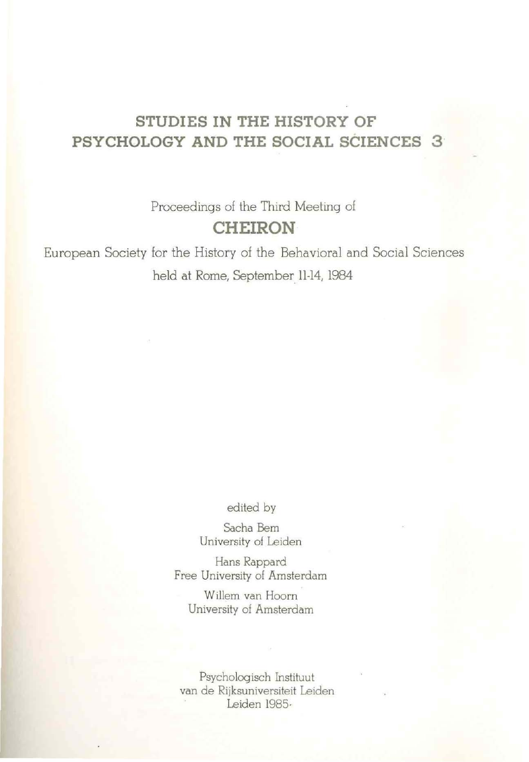# **STUDIES IN THE HISTORY OF PSYCHOLOGY AND THE SOCIAL SCIENCES 3 ·**

Proceedings of the Third Meeting of **CHEIRON** 

European Society for the History of the Behavioral and Social Sciences held at Rome, September 11-14, 1984

edited by

Sacha Bern University ol Leiden

Hans Rappard Free University of Amsterdam

Willem van Hoorn University of Amsterdam

Psychologisch Instituut van de Rijksuniversiteit Leiden Leiden 1985.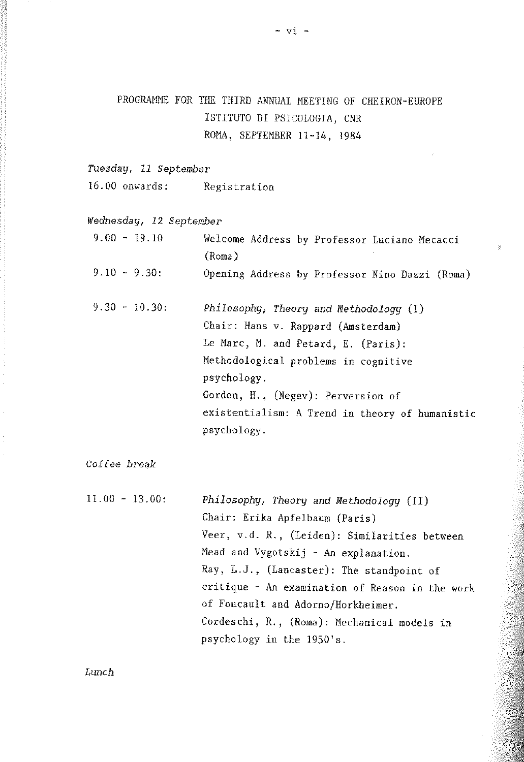## PROGRAMME FOR THE THIRD ANNUAL MEETING OF CHEIRON-EUROPE ISTITUTO DI PSJCOLOGIA, CNR ROMA, SEPTEMBER 11-14, 1984

*Tuesday, 11 September* 

16.00 onwards: Registration

*Wednesday, 12 September* 

| $9.00 - 19.10$  | Welcome Address by Professor Luciano Mecacci<br>(Roma)                                                                                                                                                                                                                             |
|-----------------|------------------------------------------------------------------------------------------------------------------------------------------------------------------------------------------------------------------------------------------------------------------------------------|
| $9.10 - 9.30$ ; | Opening Address by Professor Nino Dazzi (Roma)                                                                                                                                                                                                                                     |
| $9.30 - 10.30:$ | Philosophy, Theory and Methodology (I)<br>Chair: Hans v. Rappard (Amsterdam)<br>Le Marc, M. and Petard, E. (Paris):<br>Methodological problems in cognitive<br>psychology.<br>Gordon, H., (Negev): Perversion of<br>existentialism: A Trend in theory of humanistic<br>psychology. |

*Coffee break* 

| $11.00 - 13.00:$ | Philosophy, Theory and Methodology (II)         |
|------------------|-------------------------------------------------|
|                  | Chair: Erika Apfelbaum (Paris)                  |
|                  | Veer, v.d. R., (Leiden): Similarities between   |
|                  | Mead and Vygotskij - An explanation.            |
|                  | Ray, L.J., (Lancaster): The standpoint of       |
|                  | critique - An examination of Reason in the work |
|                  | of Foucault and Adorno/Horkheimer.              |
|                  | Cordeschi, R., (Roma): Mechanical models in     |
|                  | psychology in the 1950's.                       |

*Lunch*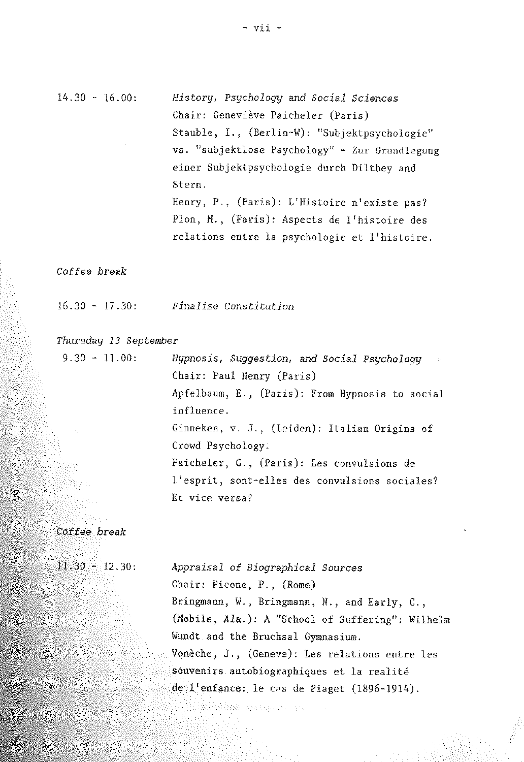### $14.30 - 16.00$ : *History1 Psychologg and Social Sciences*  Chair: Geneviève Paicheler (Paris) Stauble, I., (Berlin-W): "Subjektpsychologie" vs. "subjektlose Psychology" - Zur Grundlegung einer Subjektpsychologie durch Dilthey and Stern. Henry, P., (Paris): L'Histoire n'existe pas? Plon, M., (Paris): Aspects de l'histoire des relations entre la psychologie et l'histoire.

#### Coffee break

 $16.30 - 17.30:$ *Finalize Constitution* 

#### *Thursdag 13 September*

| $9.30 - 11.00$ : | Hypnosis, Suggestion, and Social Psychology<br>$\sim 100$ |  |  |  |
|------------------|-----------------------------------------------------------|--|--|--|
|                  | Chair: Paul Henry (Paris)                                 |  |  |  |
|                  | Apfelbaum, E., (Paris): From Hypnosis to social           |  |  |  |
|                  | influence.                                                |  |  |  |
| $\sim 10^7$      | Ginneken, v. J., (Leiden): Italian Origins of             |  |  |  |
|                  | Crowd Psychology:                                         |  |  |  |
|                  | Paicheler, G., (Paris): Les convulsions de                |  |  |  |
|                  | l'esprit, sont-elles des convulsions sociales?            |  |  |  |
|                  | Et vice versa?                                            |  |  |  |
|                  |                                                           |  |  |  |

Anthropological Company

### Cottee break

 $11.30 - 12.30$ :

*Appraisal* of *Biographical Sources*  Chair: Picone, P., (Rome) Bringmann, W., Bringmann, N., and Early, C., (Mobile, *Ala.):* A "School of Suffering": Wilhelm Wundt and the Bruchsal Gymnasium. Vonèche, J., (Geneve): Les relations entre les souvenirs autobiographiques et la realite de l'enfance: le cas de Piaget (1896-1914).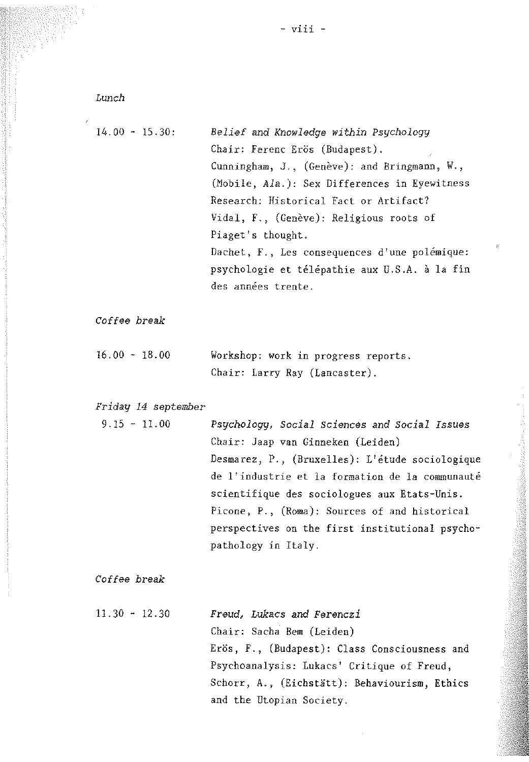- viii -

*Lunch* 

 $\lambda$ 

| $14.00 - 15.30$ : | Belief and Knowledge within Psychology                        |
|-------------------|---------------------------------------------------------------|
|                   | Chair: Ferenc Erös (Budapest).<br>$\mathcal{L}_{\mathcal{A}}$ |
|                   | Cunningham, J., (Genève): and Bringmann, W.,                  |
|                   | (Mobile, Ala.): Sex Differences in Eyewitness                 |
|                   | Research: Historical Fact or Artifact?                        |
|                   | Vidal, F., (Genève): Religious roots of                       |
|                   | Piaget's thought.                                             |
|                   | Dachet, F., Les consequences d'une polémique:                 |
|                   | psychologie et télépathie aux U.S.A. à la fin                 |
|                   | des années trente.                                            |
|                   |                                                               |

 $\tilde{g}^{\prime}$ 

*Coffee break* 

| 16.00 - 18.00 |  | Workshop: work in progress reports. |  |
|---------------|--|-------------------------------------|--|
|               |  | Chair: Larry Ray (Lancaster).       |  |

*Friday 14 September* 

| $9.15 - 11.00$ | Psychology, Social Sciences and Social Issues   |
|----------------|-------------------------------------------------|
|                | Chair: Jaap van Ginneken (Leiden)               |
|                | Desmarez, P., (Bruxelles): L'étude sociologique |
|                | de l'industrie et la formation de la communauté |
|                | scientifique des sociologues aux Etats-Unis.    |
|                | Picone, P., (Roma): Sources of and historical   |
|                | perspectives on the first institutional psycho- |
|                | pathology in Italy.                             |

*Coffee break* 

| $11.30 - 12.30$ | Freud, Lukacs and Ferenczi                    |
|-----------------|-----------------------------------------------|
|                 | Chair: Sacha Bem (Leiden)                     |
|                 | Erös, F., (Budapest): Class Consciousness and |
|                 | Psychoanalysis: Lukacs' Critique of Freud,    |
|                 | Schorr, A., (Eichstätt): Behaviourism, Ethics |
|                 | and the Utopian Society.                      |